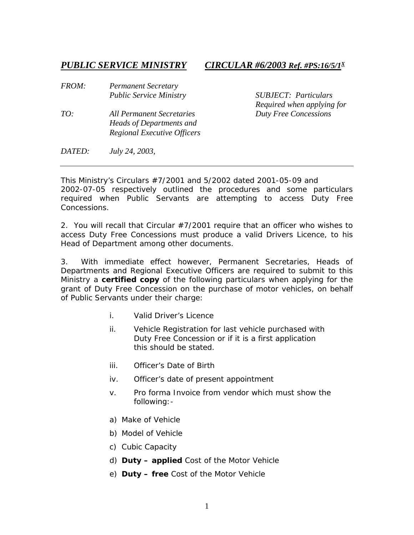*PUBLIC SERVICE MINISTRY CIRCULAR #6/2003 Ref. #PS:16/5/1X*

| <i>FROM:</i> | <b>Permanent Secretary</b><br><b>Public Service Ministry</b>                                       |
|--------------|----------------------------------------------------------------------------------------------------|
| TO:          | All Permanent Secretaries<br><b>Heads of Departments and</b><br><b>Regional Executive Officers</b> |

*Public Service Ministry SUBJECT: Particulars Required when applying for TO: All Permanent Secretaries Duty Free Concessions* 

*DATED: July 24, 2003,* 

This Ministry's Circulars #7/2001 and 5/2002 dated 2001-05-09 and 2002-07-05 respectively outlined the procedures and some particulars required when Public Servants are attempting to access Duty Free Concessions.

2. You will recall that Circular #7/2001 require that an officer who wishes to access Duty Free Concessions must produce a valid Drivers Licence, to his Head of Department among other documents.

3. With immediate effect however, Permanent Secretaries, Heads of Departments and Regional Executive Officers are required to submit to this Ministry a **certified copy** of the following particulars when applying for the grant of Duty Free Concession on the purchase of motor vehicles, on behalf of Public Servants under their charge:

- i. Valid Driver's Licence
- ii. Vehicle Registration for last vehicle purchased with Duty Free Concession or if it is a first application this should be stated.
- iii. Officer's Date of Birth
- iv. Officer's date of present appointment
- v. Pro forma Invoice from vendor which must show the following:-
- a) Make of Vehicle
- b) Model of Vehicle
- c) Cubic Capacity
- d) **Duty – applied** Cost of the Motor Vehicle
- e) **Duty – free** Cost of the Motor Vehicle